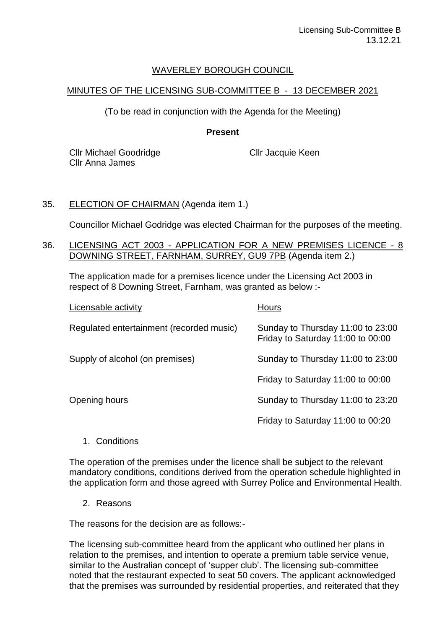## WAVERLEY BOROUGH COUNCIL

## MINUTES OF THE LICENSING SUB-COMMITTEE B - 13 DECEMBER 2021

(To be read in conjunction with the Agenda for the Meeting)

### **Present**

Cllr Michael Goodridge Cllr Anna James

Cllr Jacquie Keen

# 35. ELECTION OF CHAIRMAN (Agenda item 1.)

Councillor Michael Godridge was elected Chairman for the purposes of the meeting.

#### 36. LICENSING ACT 2003 - APPLICATION FOR A NEW PREMISES LICENCE - 8 DOWNING STREET, FARNHAM, SURREY, GU9 7PB (Agenda item 2.)

The application made for a premises licence under the Licensing Act 2003 in respect of 8 Downing Street, Farnham, was granted as below :-

| Licensable activity                      | <b>Hours</b>                                                           |
|------------------------------------------|------------------------------------------------------------------------|
| Regulated entertainment (recorded music) | Sunday to Thursday 11:00 to 23:00<br>Friday to Saturday 11:00 to 00:00 |
| Supply of alcohol (on premises)          | Sunday to Thursday 11:00 to 23:00                                      |
|                                          | Friday to Saturday 11:00 to 00:00                                      |
| Opening hours                            | Sunday to Thursday 11:00 to 23:20                                      |
|                                          | Friday to Saturday 11:00 to 00:20                                      |

## 1. Conditions

The operation of the premises under the licence shall be subject to the relevant mandatory conditions, conditions derived from the operation schedule highlighted in the application form and those agreed with Surrey Police and Environmental Health.

2. Reasons

The reasons for the decision are as follows:-

The licensing sub-committee heard from the applicant who outlined her plans in relation to the premises, and intention to operate a premium table service venue, similar to the Australian concept of 'supper club'. The licensing sub-committee noted that the restaurant expected to seat 50 covers. The applicant acknowledged that the premises was surrounded by residential properties, and reiterated that they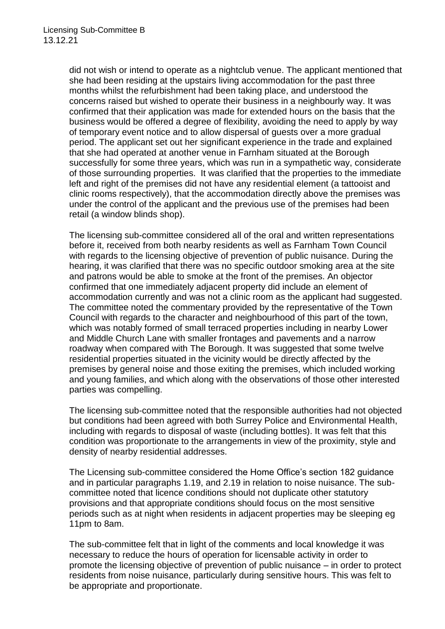did not wish or intend to operate as a nightclub venue. The applicant mentioned that she had been residing at the upstairs living accommodation for the past three months whilst the refurbishment had been taking place, and understood the concerns raised but wished to operate their business in a neighbourly way. It was confirmed that their application was made for extended hours on the basis that the business would be offered a degree of flexibility, avoiding the need to apply by way of temporary event notice and to allow dispersal of guests over a more gradual period. The applicant set out her significant experience in the trade and explained that she had operated at another venue in Farnham situated at the Borough successfully for some three years, which was run in a sympathetic way, considerate of those surrounding properties. It was clarified that the properties to the immediate left and right of the premises did not have any residential element (a tattooist and clinic rooms respectively), that the accommodation directly above the premises was under the control of the applicant and the previous use of the premises had been retail (a window blinds shop).

The licensing sub-committee considered all of the oral and written representations before it, received from both nearby residents as well as Farnham Town Council with regards to the licensing objective of prevention of public nuisance. During the hearing, it was clarified that there was no specific outdoor smoking area at the site and patrons would be able to smoke at the front of the premises. An objector confirmed that one immediately adjacent property did include an element of accommodation currently and was not a clinic room as the applicant had suggested. The committee noted the commentary provided by the representative of the Town Council with regards to the character and neighbourhood of this part of the town, which was notably formed of small terraced properties including in nearby Lower and Middle Church Lane with smaller frontages and pavements and a narrow roadway when compared with The Borough. It was suggested that some twelve residential properties situated in the vicinity would be directly affected by the premises by general noise and those exiting the premises, which included working and young families, and which along with the observations of those other interested parties was compelling.

The licensing sub-committee noted that the responsible authorities had not objected but conditions had been agreed with both Surrey Police and Environmental Health, including with regards to disposal of waste (including bottles). It was felt that this condition was proportionate to the arrangements in view of the proximity, style and density of nearby residential addresses.

The Licensing sub-committee considered the Home Office's section 182 guidance and in particular paragraphs 1.19, and 2.19 in relation to noise nuisance. The subcommittee noted that licence conditions should not duplicate other statutory provisions and that appropriate conditions should focus on the most sensitive periods such as at night when residents in adjacent properties may be sleeping eg 11pm to 8am.

The sub-committee felt that in light of the comments and local knowledge it was necessary to reduce the hours of operation for licensable activity in order to promote the licensing objective of prevention of public nuisance – in order to protect residents from noise nuisance, particularly during sensitive hours. This was felt to be appropriate and proportionate.